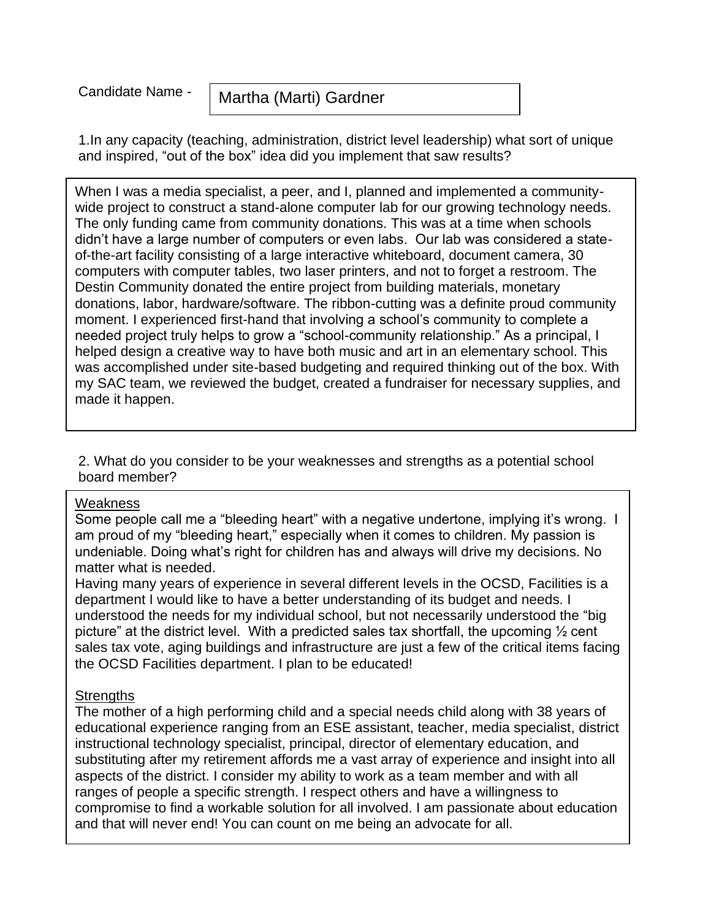Candidate Name -

## Martha (Marti) Gardner

1.In any capacity (teaching, administration, district level leadership) what sort of unique and inspired, "out of the box" idea did you implement that saw results?

When I was a media specialist, a peer, and I, planned and implemented a communitywide project to construct a stand-alone computer lab for our growing technology needs. The only funding came from community donations. This was at a time when schools didn't have a large number of computers or even labs. Our lab was considered a stateof-the-art facility consisting of a large interactive whiteboard, document camera, 30 computers with computer tables, two laser printers, and not to forget a restroom. The Destin Community donated the entire project from building materials, monetary donations, labor, hardware/software. The ribbon-cutting was a definite proud community moment. I experienced first-hand that involving a school's community to complete a needed project truly helps to grow a "school-community relationship." As a principal, I helped design a creative way to have both music and art in an elementary school. This was accomplished under site-based budgeting and required thinking out of the box. With my SAC team, we reviewed the budget, created a fundraiser for necessary supplies, and made it happen.

2. What do you consider to be your weaknesses and strengths as a potential school board member?

## **Weakness**

Some people call me a "bleeding heart" with a negative undertone, implying it's wrong. I am proud of my "bleeding heart," especially when it comes to children. My passion is undeniable. Doing what's right for children has and always will drive my decisions. No matter what is needed.

Having many years of experience in several different levels in the OCSD, Facilities is a department I would like to have a better understanding of its budget and needs. I understood the needs for my individual school, but not necessarily understood the "big picture" at the district level. With a predicted sales tax shortfall, the upcoming  $\frac{1}{2}$  cent sales tax vote, aging buildings and infrastructure are just a few of the critical items facing the OCSD Facilities department. I plan to be educated!

## **Strengths**

The mother of a high performing child and a special needs child along with 38 years of educational experience ranging from an ESE assistant, teacher, media specialist, district instructional technology specialist, principal, director of elementary education, and substituting after my retirement affords me a vast array of experience and insight into all aspects of the district. I consider my ability to work as a team member and with all ranges of people a specific strength. I respect others and have a willingness to compromise to find a workable solution for all involved. I am passionate about education and that will never end! You can count on me being an advocate for all.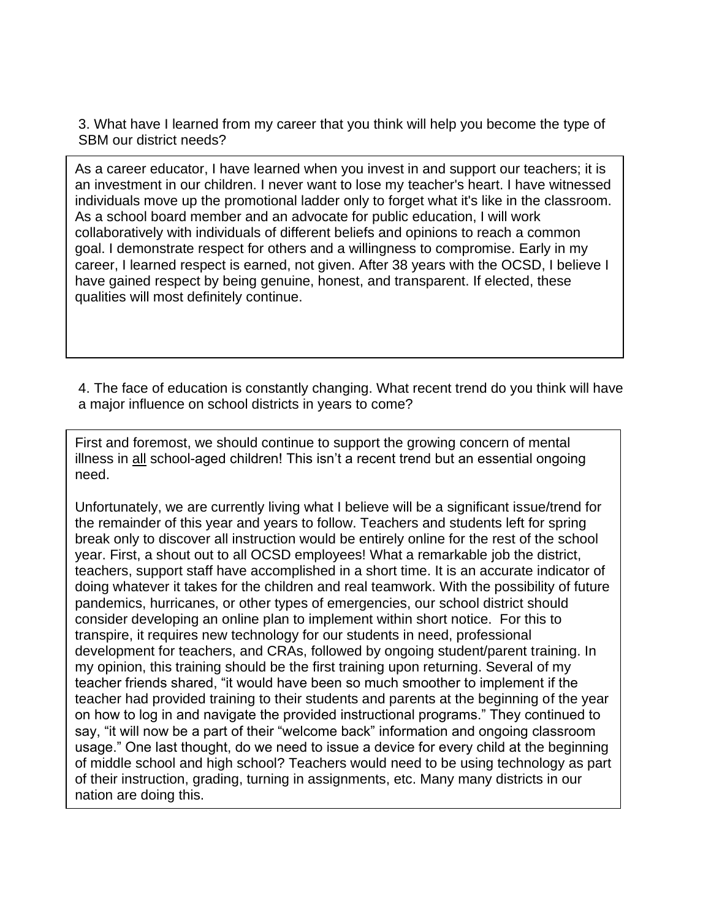3. What have I learned from my career that you think will help you become the type of SBM our district needs?

As a career educator, I have learned when you invest in and support our teachers; it is an investment in our children. I never want to lose my teacher's heart. I have witnessed individuals move up the promotional ladder only to forget what it's like in the classroom. As a school board member and an advocate for public education, I will work collaboratively with individuals of different beliefs and opinions to reach a common goal. I demonstrate respect for others and a willingness to compromise. Early in my career, I learned respect is earned, not given. After 38 years with the OCSD, I believe I have gained respect by being genuine, honest, and transparent. If elected, these qualities will most definitely continue.

4. The face of education is constantly changing. What recent trend do you think will have a major influence on school districts in years to come?

First and foremost, we should continue to support the growing concern of mental illness in all school-aged children! This isn't a recent trend but an essential ongoing need.

Unfortunately, we are currently living what I believe will be a significant issue/trend for the remainder of this year and years to follow. Teachers and students left for spring break only to discover all instruction would be entirely online for the rest of the school year. First, a shout out to all OCSD employees! What a remarkable job the district, teachers, support staff have accomplished in a short time. It is an accurate indicator of doing whatever it takes for the children and real teamwork. With the possibility of future pandemics, hurricanes, or other types of emergencies, our school district should consider developing an online plan to implement within short notice. For this to transpire, it requires new technology for our students in need, professional development for teachers, and CRAs, followed by ongoing student/parent training. In my opinion, this training should be the first training upon returning. Several of my teacher friends shared, "it would have been so much smoother to implement if the teacher had provided training to their students and parents at the beginning of the year on how to log in and navigate the provided instructional programs." They continued to say, "it will now be a part of their "welcome back" information and ongoing classroom usage." One last thought, do we need to issue a device for every child at the beginning of middle school and high school? Teachers would need to be using technology as part of their instruction, grading, turning in assignments, etc. Many many districts in our nation are doing this.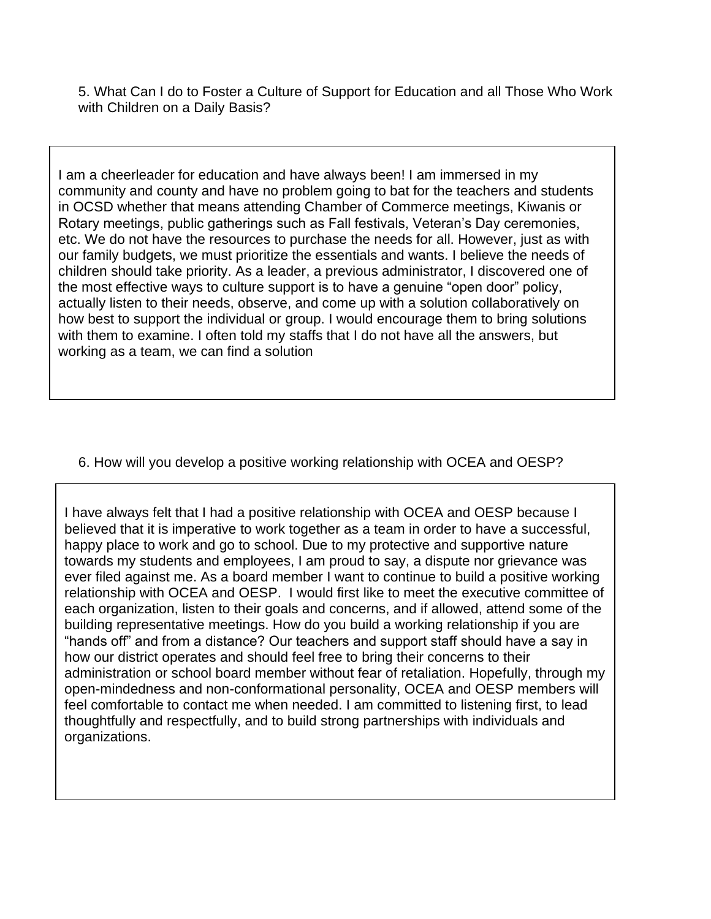5. What Can I do to Foster a Culture of Support for Education and all Those Who Work with Children on a Daily Basis?

I am a cheerleader for education and have always been! I am immersed in my community and county and have no problem going to bat for the teachers and students in OCSD whether that means attending Chamber of Commerce meetings, Kiwanis or Rotary meetings, public gatherings such as Fall festivals, Veteran's Day ceremonies, etc. We do not have the resources to purchase the needs for all. However, just as with our family budgets, we must prioritize the essentials and wants. I believe the needs of children should take priority. As a leader, a previous administrator, I discovered one of the most effective ways to culture support is to have a genuine "open door" policy, actually listen to their needs, observe, and come up with a solution collaboratively on how best to support the individual or group. I would encourage them to bring solutions with them to examine. I often told my staffs that I do not have all the answers, but working as a team, we can find a solution

6. How will you develop a positive working relationship with OCEA and OESP?

I have always felt that I had a positive relationship with OCEA and OESP because I believed that it is imperative to work together as a team in order to have a successful, happy place to work and go to school. Due to my protective and supportive nature towards my students and employees, I am proud to say, a dispute nor grievance was ever filed against me. As a board member I want to continue to build a positive working relationship with OCEA and OESP. I would first like to meet the executive committee of each organization, listen to their goals and concerns, and if allowed, attend some of the building representative meetings. How do you build a working relationship if you are "hands off" and from a distance? Our teachers and support staff should have a say in how our district operates and should feel free to bring their concerns to their administration or school board member without fear of retaliation. Hopefully, through my open-mindedness and non-conformational personality, OCEA and OESP members will feel comfortable to contact me when needed. I am committed to listening first, to lead thoughtfully and respectfully, and to build strong partnerships with individuals and organizations.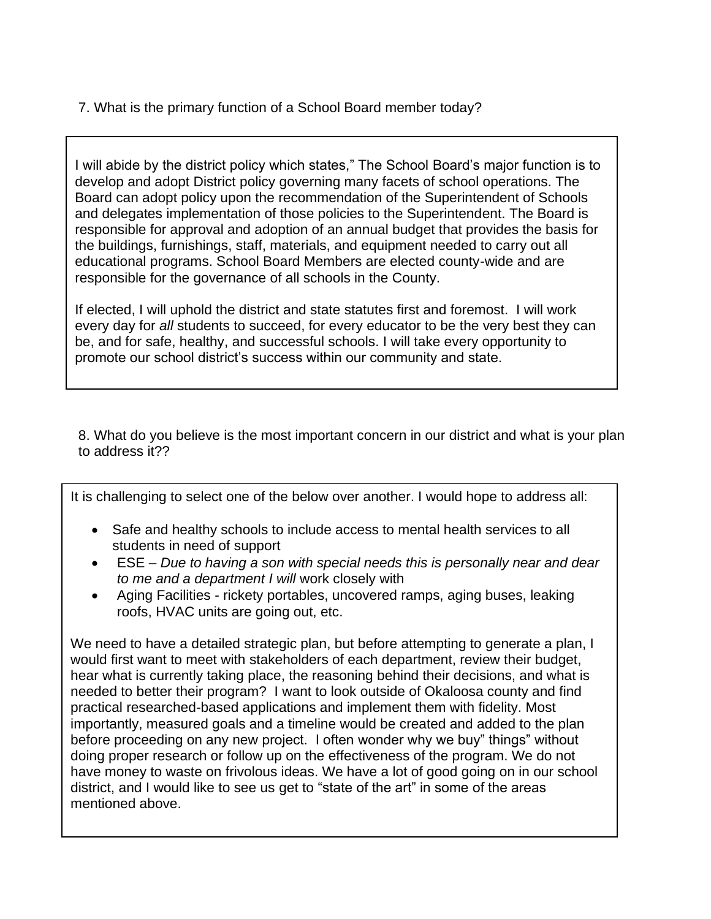7. What is the primary function of a School Board member today?

I will abide by the district policy which states," The School Board's major function is to develop and adopt District policy governing many facets of school operations. The Board can adopt policy upon the recommendation of the Superintendent of Schools and delegates implementation of those policies to the Superintendent. The Board is responsible for approval and adoption of an annual budget that provides the basis for the buildings, furnishings, staff, materials, and equipment needed to carry out all educational programs. School Board Members are elected county-wide and are responsible for the governance of all schools in the County.

If elected, I will uphold the district and state statutes first and foremost. I will work every day for *all* students to succeed, for every educator to be the very best they can be, and for safe, healthy, and successful schools. I will take every opportunity to promote our school district's success within our community and state.

8. What do you believe is the most important concern in our district and what is your plan to address it??

It is challenging to select one of the below over another. I would hope to address all:

- Safe and healthy schools to include access to mental health services to all students in need of support
- ESE *Due to having a son with special needs this is personally near and dear to me and a department I will* work closely with
- Aging Facilities rickety portables, uncovered ramps, aging buses, leaking roofs, HVAC units are going out, etc.

We need to have a detailed strategic plan, but before attempting to generate a plan, I would first want to meet with stakeholders of each department, review their budget, hear what is currently taking place, the reasoning behind their decisions, and what is needed to better their program? I want to look outside of Okaloosa county and find practical researched-based applications and implement them with fidelity. Most importantly, measured goals and a timeline would be created and added to the plan before proceeding on any new project. I often wonder why we buy" things" without doing proper research or follow up on the effectiveness of the program. We do not have money to waste on frivolous ideas. We have a lot of good going on in our school district, and I would like to see us get to "state of the art" in some of the areas mentioned above.